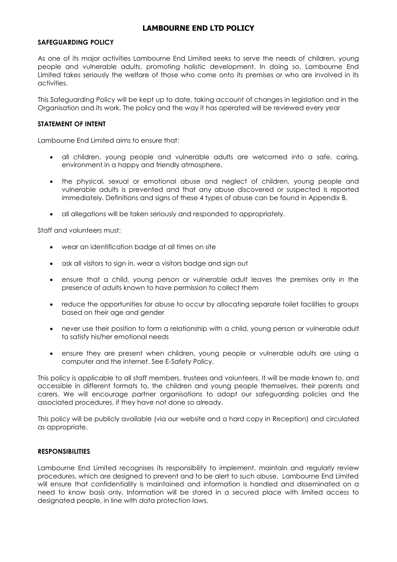#### **SAFEGUARDING POLICY**

As one of its major activities Lambourne End Limited seeks to serve the needs of children, young people and vulnerable adults, promoting holistic development. In doing so, Lambourne End Limited takes seriously the welfare of those who come onto its premises or who are involved in its activities.

This Safeguarding Policy will be kept up to date, taking account of changes in legislation and in the Organisation and its work. The policy and the way it has operated will be reviewed every year

#### **STATEMENT OF INTENT**

Lambourne End Limited aims to ensure that:

- all children, young people and vulnerable adults are welcomed into a safe, caring, environment in a happy and friendly atmosphere.
- the physical, sexual or emotional abuse and neglect of children, young people and vulnerable adults is prevented and that any abuse discovered or suspected is reported immediately. Definitions and signs of these 4 types of abuse can be found in Appendix B.
- all allegations will be taken seriously and responded to appropriately.

Staff and volunteers must:

- wear an identification badge at all times on site
- ask all visitors to sign in, wear a visitors badge and sign out
- ensure that a child, young person or vulnerable adult leaves the premises only in the presence of adults known to have permission to collect them
- reduce the opportunities for abuse to occur by allocating separate toilet facilities to groups based on their age and gender
- never use their position to form a relationship with a child, young person or vulnerable adult to satisfy his/her emotional needs
- ensure they are present when children, young people or vulnerable adults are using a computer and the internet. See E-Safety Policy.

This policy is applicable to all staff members, trustees and volunteers. It will be made known to, and accessible in different formats to, the children and young people themselves, their parents and carers. We will encourage partner organisations to adopt our safeguarding policies and the associated procedures, if they have not done so already.

This policy will be publicly available (via our website and a hard copy in Reception) and circulated as appropriate.

#### **RESPONSIBILITIES**

Lambourne End Limited recognises its responsibility to implement, maintain and regularly review procedures, which are designed to prevent and to be alert to such abuse. Lambourne End Limited will ensure that confidentiality is maintained and information is handled and disseminated on a need to know basis only. Information will be stored in a secured place with limited access to designated people, in line with data protection laws.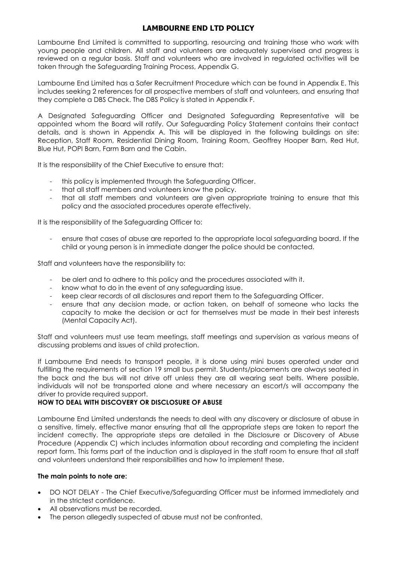Lambourne End Limited is committed to supporting, resourcing and training those who work with young people and children. All staff and volunteers are adequately supervised and progress is reviewed on a regular basis. Staff and volunteers who are involved in regulated activities will be taken through the Safeguarding Training Process, Appendix G.

Lambourne End Limited has a Safer Recruitment Procedure which can be found in Appendix E. This includes seeking 2 references for all prospective members of staff and volunteers, and ensuring that they complete a DBS Check. The DBS Policy is stated in Appendix F.

A Designated Safeguarding Officer and Designated Safeguarding Representative will be appointed whom the Board will ratify. Our Safeguarding Policy Statement contains their contact details, and is shown in Appendix A. This will be displayed in the following buildings on site: Reception, Staff Room, Residential Dining Room, Training Room, Geoffrey Hooper Barn, Red Hut, Blue Hut, POPI Barn, Farm Barn and the Cabin.

It is the responsibility of the Chief Executive to ensure that:

- this policy is implemented through the Safeguarding Officer.
- that all staff members and volunteers know the policy.
- that all staff members and volunteers are given appropriate training to ensure that this policy and the associated procedures operate effectively.

It is the responsibility of the Safeguarding Officer to:

- ensure that cases of abuse are reported to the appropriate local safeguarding board. If the child or young person is in immediate danger the police should be contacted.

Staff and volunteers have the responsibility to:

- be alert and to adhere to this policy and the procedures associated with it.
- know what to do in the event of any safeguarding issue.
- keep clear records of all disclosures and report them to the Safeguarding Officer.
- ensure that any decision made, or action taken, on behalf of someone who lacks the capacity to make the decision or act for themselves must be made in their best interests (Mental Capacity Act).

Staff and volunteers must use team meetings, staff meetings and supervision as various means of discussing problems and issues of child protection.

If Lambourne End needs to transport people, it is done using mini buses operated under and fulfilling the requirements of section 19 small bus permit. Students/placements are always seated in the back and the bus will not drive off unless they are all wearing seat belts. Where possible, individuals will not be transported alone and where necessary an escort/s will accompany the driver to provide required support.

### **HOW TO DEAL WITH DISCOVERY OR DISCLOSURE OF ABUSE**

Lambourne End Limited understands the needs to deal with any discovery or disclosure of abuse in a sensitive, timely, effective manor ensuring that all the appropriate steps are taken to report the incident correctly. The appropriate steps are detailed in the Disclosure or Discovery of Abuse Procedure (Appendix C) which includes information about recording and completing the incident report form. This forms part of the induction and is displayed in the staff room to ensure that all staff and volunteers understand their responsibilities and how to implement these.

#### **The main points to note are:**

- DO NOT DELAY The Chief Executive/Safeguarding Officer must be informed immediately and in the strictest confidence.
- All observations must be recorded.
- The person allegedly suspected of abuse must not be confronted.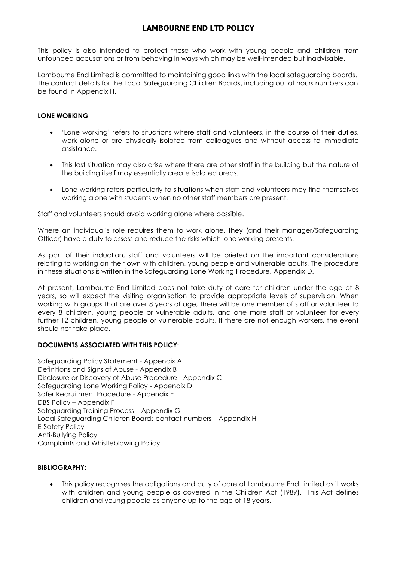This policy is also intended to protect those who work with young people and children from unfounded accusations or from behaving in ways which may be well-intended but inadvisable.

Lambourne End Limited is committed to maintaining good links with the local safeguarding boards. The contact details for the Local Safeguarding Children Boards, including out of hours numbers can be found in Appendix H.

### **LONE WORKING**

- 'Lone working' refers to situations where staff and volunteers, in the course of their duties, work alone or are physically isolated from colleagues and without access to immediate assistance.
- This last situation may also arise where there are other staff in the building but the nature of the building itself may essentially create isolated areas.
- Lone working refers particularly to situations when staff and volunteers may find themselves working alone with students when no other staff members are present.

Staff and volunteers should avoid working alone where possible.

Where an individual's role requires them to work alone, they (and their manager/Safeguarding Officer) have a duty to assess and reduce the risks which lone working presents.

As part of their induction, staff and volunteers will be briefed on the important considerations relating to working on their own with children, young people and vulnerable adults. The procedure in these situations is written in the Safeguarding Lone Working Procedure, Appendix D.

At present, Lambourne End Limited does not take duty of care for children under the age of 8 years, so will expect the visiting organisation to provide appropriate levels of supervision. When working with groups that are over 8 years of age, there will be one member of staff or volunteer to every 8 children, young people or vulnerable adults, and one more staff or volunteer for every further 12 children, young people or vulnerable adults. If there are not enough workers, the event should not take place.

### **DOCUMENTS ASSOCIATED WITH THIS POLICY:**

Safeguarding Policy Statement - Appendix A Definitions and Signs of Abuse - Appendix B Disclosure or Discovery of Abuse Procedure - Appendix C Safeguarding Lone Working Policy - Appendix D Safer Recruitment Procedure - Appendix E DBS Policy – Appendix F Safeguarding Training Process – Appendix G Local Safeguarding Children Boards contact numbers – Appendix H E-Safety Policy Anti-Bullying Policy Complaints and Whistleblowing Policy

#### **BIBLIOGRAPHY:**

 This policy recognises the obligations and duty of care of Lambourne End Limited as it works with children and young people as covered in the Children Act (1989). This Act defines children and young people as anyone up to the age of 18 years.